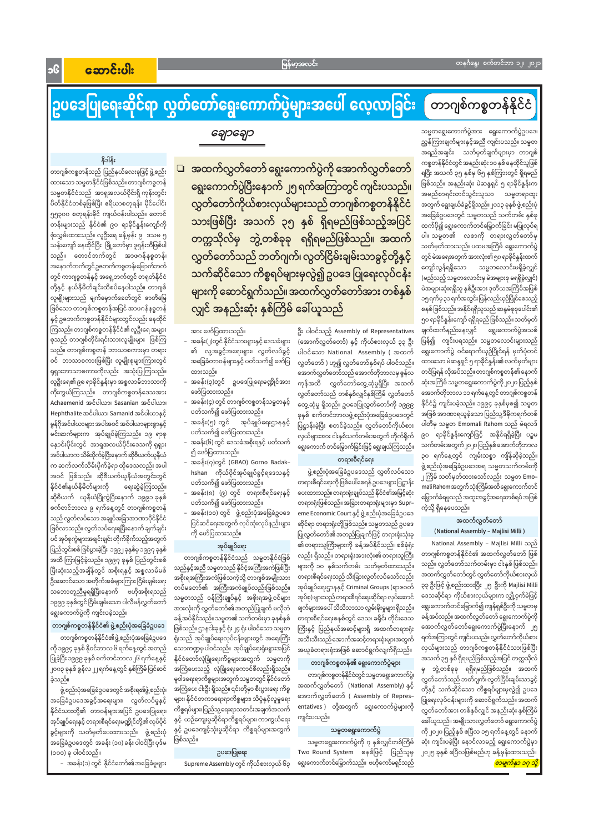Jc

# ဉ္စြပဒေပြုရေးဆိုင်ရာ လွတ်တော်ရွေးကောက်ပွဲများအပေါ် လေ့လာခြင်း တာဂျစ်ကစ္စတန်နိုင်ငံ

သမ္မတရွေးကောက်ပွဲအား ရွေးကောက်ပွဲဥပဒေ၊ ညွှန်ကြားချက်များနှင့်အညီ ကျင်းပသည်။ သမ္မတ အရည်အချင်း သတ်မှတ်ချက်များမှာ တာဂျစ် ကစ္စတန်နိုင်ငံတွင် အနည်းဆုံး ၁၀ နှစ် နေထိုင်သူဖြစ် ရပြီး အသက် ၃၅ နှစ်မှ ၆၅ နှစ်ကြားတွင် ရှိရမည် ဖြစ်သည်။ အနည်းဆုံး မဲဆန္ဒရှင် ၅ ရာခိုင်နှုန်းက အမည်စာရင်းတင်သွင်းသူသာ သမ္မတရာထူး အတွက် ရွေးချယ်ခံခွင့်ရှိသည်။ ၂၀၁၃ ခုနှစ် ဖွဲ့ စည်းပုံ အခြေခံဥပဒေတွင် သမ္မတသည် သက်တမ်း နှစ်ခု ထက်ပို၍ ရွေးကောက်တင်မြှောက်ခြင်း မပြုလုပ်ရ ပါ။ သမ္မတ၏ လစာကို တရားလွှတ်တော်မှ သတ်မှတ်ထားသည်။ ပထမအကြိမ် ရွေးကောက်ပွဲ တွင် မဲအရေအတွက် အားလုံး၏ ၅၀ ရာခိုင်နှုန်းထက် ကျော်လွန်ရရှိသော သမ္မတလောင်းမရှိခဲ့လျှင် (မည်သည့် သမ္မတလောင်းမှ မဲအများစု မရရှိခဲ့လျှင်) မဲအများဆုံးရရှိသူ နှစ်ဦးအား ဒုတိယအကြိမ်အဖြစ် ၁၅ရက်မှ၃၁ရက်အတွင်းပြန်လည်ယှဉ်ပြိုင်စေသည့် စနစ် ဖြစ်သည်။ အနိုင်ရရှိသူသည် ဆန္ဒမဲစုစုပေါင်း၏ ၅၀ ရာခိုင်နှုန်းကျော် ရရှိရမည် ဖြစ်သည်။ သတ်မှတ် ချက်ထက်နည်းနေလျှင် ရွေးကောက်ပွဲအသစ် ပြန်၍ ကျင်းပရသည်။ သမ္မတလောင်းများသည် ရွေးကောက်ပွဲ ဝင်ရောက်ယှဉ်ပြိုင်ရန် မှတ်ပုံတင် ထားသော မဲဆန္ဒရှင် ၅ ရာခိုင်နူန်း၏ လက်မှတ်များ တင်ပြရန် လိုအပ်သည်။ တာဂျစ်ကစ္စတန်၏ နောက် ဆုံးအကြိမ် သမ္မတရွေးကောက်ပွဲကို ၂၀၂၀ ပြည့်နှစ် အောက်တိုဘာလ ၁၁ ရက်နေ့တွင် တာဂျစ်ကစ္စတန် နိုင်ငံ၌ ကျင်းပခဲ့သည်။ ၁၉၉၄ ခုနှစ်မှစ၍ သမ္မတ အဖြစ် အာဏာရယူခဲ့သော ပြည်သူ့ဒီမိုကရက်တစ် ပါတီမှ သမ္မတ Emomali Rahom သည် မဲရလဒ် ၉၀ ရာခိုင်နှုန်းကျော်ဖြင့် အနိုင်ရရှိခဲ့ပြီး ပဉ္စမ သက်တမ်းအတွက်၂၀၂၀ပြည့်နှစ်အောက်တိုဘာလ ၃၀ ရက်နေ့တွင် ကျမ်းသစ္စာ ကျိန်ဆိုခဲ့သည်။ ဖွဲ့စည်းပုံအခြေခံဥပဒေအရ သမ္မတသက်တမ်းကို ၂ကြိမ် သတ်မှတ်ထားသော်လည်း သမ္မတ Emo– mali Rahom အတွက်သုံးကြိမ်အထိ ရွေးကောက်တင် မြှောက်ခံရမှုသည် အထူးအခွင့်အရေးတစ်ရပ် အဖြစ် ကဲ့သို့ ရှိနေပေသည်။

#### အထက်လွှတ်တော် (National Assembly - Majlisi Milli)

National Assembly – Majlisi Milli သည် ၏ တရားသူကြီးများကို ခန့်အပ်နိုင်သည်။ စစ်ခုံရုံး အုပ်ချုပ်ရေး ပြည်တွင်းစစ်ဖြစ်ပွားခဲ့ပြီး ၁၉၉၂ ခုနှစ်မှ ၁၉၉၇ ခုနှစ် တာဂျစ်ကစ္စတန်နိုင်ငံ၏ အထက်လွှတ်တော် ဖြစ် လည်း ရှိသည်။ တရားရုံးအားလုံး၏ တရားသူကြီး တာဂျစ်ကစ္စတန်နိုင်ငံသည် သမ္မတနိုင်ငံဖြစ် အထိ ကြာမြင့်ခဲ့သည်။ ၁၉၉၇ ခုနှစ် ပြည်တွင်းစစ် သည်။ လွှတ်တော်သက်တမ်းမှာ ငါးနှစ် ဖြစ်သည်။ များကို ၁၀ နှစ်သက်တမ်း သတ်မှတ်ထားသည်။ သည်နှင့်အညီ သမ္မတသည် နိုင်ငံ့အကြီးအကဲဖြစ်ပြီး ပြီးဆုံးသည့်အချိန်တွင် အစိုးရနှင့် အစ္စလာမ်မစ် အထက်လွှတ်တော်တွင် လွှတ်တော်ကိုယ်စားလှယ် တရားစီရင်ရေးသည် သီးခြားလွတ်လပ်သော်လည်း အစိုးရအကြီးအကဲဖြစ်သကဲ့သို့ တာဂျစ်အမျိုးသား ဦးဆောင်သော အတိုက်အခံများကြား ငြိမ်းချမ်းရေး အုပ်ချုပ်ရေးဌာနနှင့် Criminal Groups (ရာဇဝတ် ၃၃ ဦးဖြင့် ဖွဲ့ စည်းထားပြီး ၂၅ ဦးကို Majlisi Milli တပ်မတော်၏ အကြီးအကဲချုပ်လည်းဖြစ်သည်။ သဘောတူညီမှုရရှိပြီးနောက် ဗဟိုအစိုးရသည် ဒေသဆိုင်ရာ ကိုယ်စားလှယ်များက လျှို့ဝှက်မဲဖြင့် အုပ်စု) များသည် တရားစီရင်ရေးဆိုင်ရာ လုပ်ဆောင် သမ္မတသည် ဝန်ကြီးချုပ်နှင့် အစိုးရအဖွဲ့ဝင်များ ၁၉၉၉ ခုနှစ်တွင် ငြိမ်းချမ်းသော ပါလီမန်လွှတ်တော် ရွေးကောက်တင်မြှောက်၍ ကျန်ရစ်ဦးကို သမ္မတမှ ချက်များအပေါ် သိသိသာသာ လွှမ်းမိုးမှုများ ရှိသည်။ အားလုံးကို လွှတ်တော်၏ အတည်ပြုချက် မလိုဘဲ ရွေးကောက်ပွဲကို ကျင်းပခဲ့သည်။ ခန့်အပ်သည်။ အထက်လွှတ်တော် ရွေးကောက်ပွဲကို ခန့်အပ်နိုင်သည်။ သမ္မတ၏ သက်တမ်းမှာ ခုနစ်နှစ် တရားစီရင်ရေးစနစ်တွင် ဒေသ၊ ခရိုင်၊ တိုင်းဒေသ တာဂျစ်ကစ္စတန်နိုင်ငံ၏ ဖွဲ့စည်းပုံအခြေခံဥပဒေ အောက်လွှတ်တော်ရွေးကောက်ပွဲပြီးနောက် ၂၅ ဖြစ်သည်။ ဌာနငါးခုနှင့် ရုံး၂၄ ရုံး ပါဝင်သော သမ္မတ ကြီးနှင့် ပြည်နယ်အဆင့်များရှိ အထက်တရားရုံ တာဂျစ်ကစ္စတန်နိုင်ငံ၏ဖွဲ့စည်းပုံအခြေခံဥပဒေ ရက်အကြာတွင် ကျင်းပသည်။ လွှတ်တော်ကိုယ်စား ရုံးသည် အုပ်ချုပ်ရေးလုပ်ငန်းများတွင် အရေးကြီး အသီးသီးသည် အောက်အဆင့်တရားရုံးများအတွက် လှယ်များသည် တာဂျစ်ကစ္စတန်နိုင်ငံသားဖြစ်ပြီး ကို ၁၉၉၄ ခုနှစ် နိုဝင်ဘာလ ၆ ရက်နေ့တွင် အတည် သောကဏ္ဍမှ ပါဝင်သည်။ အုပ်ချုပ်ရေးရုံးများအပြင် အယူခံတရားရုံးအဖြစ် ဆောင်ရွက်လျက်ရှိသည်။ နိုင်ငံတော်လုံခြုံရေးကိစ္စများအတွက် သမ္မတကို အသက် ၃၅ နှစ် ရှိရမည်ဖြစ်သည့်အပြင် တက္ကသိုလ် ပြုခဲ့ပြီး ၁၉၉၉ ခုနှစ် စက်တင်ဘာလ ၂၆ ရက်နေ့နှင့် တာဂျစ်ကစ္စတန်၏ ရွေးကောက်ပွဲများ ၂၀၀၃ ခုနှစ် ဇွန်လ ၂၂ ရက်နေ့တွင် နှစ်ကြိမ်ပြင်ဆင် အကြံပေးသည့် လုံခြုံရေးကောင်စီလည်းရှိသည်။ မှ ဘွဲ့တစ်ခုခု ရရှိရမည်ဖြစ်သည်။ အထက် တာဂျစ်ကစ္စတန်နိုင်ငံတွင် သမ္မတရွေးကောက်ပွဲ၊ မူဝါဒရေးရာကိစ္စများအတွက် သမ္မတတွင် နိုင်ငံတော် လွှတ်တော်သည် ဘတ်ဂျက်၊ လွတ်ငြိမ်းချမ်းသာခွင့် ခဲ့သည်။ အထက်လွှတ်တော် (National Assembly) နှင့် အကြံပေး ငါးဦး ရှိသည်။ ၎င်းတို့မှာ စီးပွားရေး ကိစ္စ တို့နှင့် သက်ဆိုင်သော ကိစ္စရပ်များမှလွဲ၍ ဥပဒေ ဖွဲ့ စည်းပုံအခြေခံဥပဒေတွင် အစိုးရ၏ဖွဲ့ စည်းပုံ၊ အောက်လွှတ်တော် ( Assembly of Repres-များ၊ နိုင်ငံတကာရေးရာကိစ္စများ၊ သိပ္ပံနှင့်လူမှုရေး အခြေခံဥပဒေအခွင့်အရေးများ၊ လွတ်လပ်မှုနှင့် ပြုရေးလုပ်ငန်းများကို ဆောင်ရွက်သည်။ အထက် entatives ) တို့အတွက် ရွေးကောက်ပွဲများကို ကိစ္စရပ်များ၊ပြည်သူ့ရေးရာသတင်းအချက်အလက် နိုင်ငံသားတို့၏ တာဝန်များအပြင် ဥပဒေပြုရေး၊ လွှတ်တော်အား တစ်နှစ်လျှင် အနည်းဆုံး နှစ်ကြိမ် ကျင်းပသည်။ နှင့် ယဉ်ကျေးမှုဆိုင်ရာကိစ္စရပ်များ၊ ကာကွယ်ရေး အုပ်ချုပ်ရေးနှင့် တရားစီရင်ရေးမဏ္ဍိုင်တို့၏ လုပ်ပိုင် ခေါ်ယူသည်။ အမျိုးသားလွှတ်တော် ရွေးကောက်ပွဲ နှင့် ဥပဒေကျင့်သုံးမှုဆိုင်ရာ ကိစ္စရပ်များအတွက် သမ္မတရွေးကောက်ပွဲ ကို ၂၀၂၀ ပြည့်နှစ် ဧပြီလ ၁၅ ရက်နေ့တွင် နောက် ခွင့်များကို သတ်မှတ်ပေးထားသည်။ ဖွဲ့စည်းပုံ ဖြစ်သည်။ ဆုံး ကျင်းပခဲ့ပြီး နောင်လာမည့် ရွေးကောက်ပွဲမှာ အခြေခံဥပဒေတွင် အခန်း (၁၀) ခန်း ပါဝင်ပြီး ပုဒ်မ သမ္မတရွေးကောက်ပွဲကို ဂု နှစ်လျှင်တစ်ကြိမ် (၁၀၀) ခု ပါဝင်သည်။ ဥပဒေပြုရေး Two Round System စနစ်ဖြင့် ပြည်သူမှ ၂၀၂၅ ခုနှစ် ဧပြီလဖြစ်မည်ဟု ခန့်မှန်းထားသည်။ – အခန်း(၁) တွင် နိုင်ငံတော်၏ အခြေခံမူများ ရွေးကောက်တင်မြှောက်သည်။ ဗဟိုကော်မရှင်သည် <mark>စာမျက်နှာ ၁၇ သို့</mark> Supreme Assembly တွင် ကိုယ်စားလှယ် ၆၃

# ချောချော

နိဒါန်း

တာဂျစ်ကစ္စတန်သည် ပြည်နယ်လေးခုဖြင့် ဖွဲ့စည်း ထားသော သမ္မတနိုင်ငံဖြစ်သည်။ တာဂျစ်ကစ္စတန် သမ္မတနိုင်ငံသည် အာရှအလယ်ပိုင်းရှိ ကုန်းတွင်း ပိတ်နိုင်ငံတစ်ခုဖြစ်ပြီး ဧရိယာစတုရန်း မိုင်ပေါင်း ၅၅၃၀၀ စတုရန်းမိုင် ကျယ်ဝန်းပါသည်။ တောင် တန်းများသည် နိုင်ငံ၏ ၉၀ ရာခိုင်နူန်းကျော်ကို ဖုံးလွှမ်းထားသည်။ လူဦးရေ ခန့်မှန်း ၉ ဒသမ ၅ သန်းကျော် နေထိုင်ပြီး မြို့တော်မှာ ဒူရှန်းဘီဖြစ်ပါ သည်။ တောင်ဘက်တွင် အာဖဂန်နစ္စတန်၊ အနောက်ဘက်တွင်ဥဇဘက်ကစ္စတန်၊မြောက်ဘက် တွင် ကာဂျစ္စတန်နှင့် အရှေ့ဘက်တွင် တရုတ်နိုင်ငံ တို့နှင့် နယ်နိမိတ်ချင်းထိစပ်နေပါသည်။ တာဂျစ် လူမျိုးများသည် မျက်မှောက်ခေတ်တွင် ဇာတိမြေ ဖြစ်သော တာဂျစ်ကစ္စတန်အပြင် အာဖဂန်နစ္စတန် နှင့် ဥဇဘက်ကစ္စတန်နိုင်ငံများတွင်လည်း နေထိုင် ကြသည်။ တာဂျစ်ကစ္စတန်နိုင်ငံ၏ လူဦးရေ အများ စုသည် တာဂျစ်တိုင်းရင်းသားလူမျိုးများ ဖြစ်ကြ သည်။ တာဂျစ်ကစ္စတန် ဘာသာစကားမှာ တရား ဝင် ဘာသာစကားဖြစ်ပြီး လူမျိုးစုများကြားတွင် ရုရှားဘာသာစကားကိုလည်း အသုံးပြုကြသည်။ လူဦးရေ၏ ၉၈ ရာခိုင်နှုန်းမှာ အစ္စလာမ်ဘာသာကို ကိုးကွယ်ကြသည်။ တာဂျစ်ကစ္စတန်ဒေသအား Achaemenid အင်ပါယာ၊ Sasanian အင်ပါယာ၊ Hephthalite အင်ပါယာ၊ Samanid အင်ပါယာနှင့် မွန်ဂိုအင်ပါယာများ အပါအဝင် အင်ပါယာများစွာနှင့် မင်းဆက်များက အုပ်ချုပ်ခဲ့ကြသည်။ ၁၉ ရာစု နှောင်းပိုင်းတွင် အာရှအလယ်ပိုင်းဒေသကို ရုရှား အင်ပါယာက သိမ်းပိုက်ခဲ့ပြီးနောက် ဆိုဗီယက်ယူနီယံ က ဆက်လက်သိမ်းပိုက်ခဲ့ရာ ထိုဒေသလည်း အပါ အဝင် ဖြစ်သည်။ ဆိုဗီယက်ယူနီယံအတွင်းတွင် နိုင်ငံ၏နယ်နိမိတ်များကို ရေးဆွဲခဲ့ကြသည်။ ဆိုဗီယက် ယူနီယံပြိုကွဲပြီးနောက် ၁၉၉၁ ခုနှစ် စက်တင်ဘာလ ၉ ရက်နေ့တွင် တာဂျစ်ကစ္စတန် သည် လွတ်လပ်သော အချုပ်အခြာအာဏာပိုင်နိုင်ငံ ဖြစ်လာသည်။ လွတ်လပ်ရေးရပြီးနောက် ချက်ချင်း ပင် အုပ်စုကွဲများအချင်းချင်း တိုက်ခိုက်သည့်အတွက်

□ အထက်လွှတ်တော် ရွေးကောက်ပွဲကို အောက်လွှတ်တော် ရွေးကောက်ပွဲပြီးနောက် ၂၅ ရက်အကြာတွင် ကျင်းပသည်။ လွှတ်တော်ကိုယ်စားလှယ်များသည် တာဂျစ်ကစ္စတန်နိုင်ငံ သားဖြစ်ပြီး အသက် ၃၅ နှစ် ရှိရမည်ဖြစ်သည့်အပြင် တက္ကသိုလ်မှ ဘွဲ့တစ်ခုခု ရရှိရမည်ဖြစ်သည်။ အထက် လွှတ်တော်သည် ဘတ်ဂျက်၊ လွတ်ငြိမ်းချမ်းသာခွင့်တို့နှင့် သက်ဆိုင်သော ကိစ္စရပ်များမှလွဲ၍ ဥပဒေ ပြုရေးလုပ်ငန်း များကို ဆောင်ရွက်သည်။ အထက်လွှတ်တော်အား တစ်နှစ် လျှင် အနည်းဆုံး နှစ်ကြိမ် ခေါ်ယူသည်

ဦး ပါဝင်သည့် Assembly of Representatives

(အောက်လွှတ်တော်) နှင့် ကိုယ်စားလှယ် ၃၃ ဦး

ပါဝင်သော National Assembly (အထက်

လွှတ်တော် ) ဟူ၍ လွှတ်တော်နှစ်ရပ် ပါဝင်သည်။

အောက်လွှတ်တော်သည် အောက်တိုဘာလမှ ဇွန်လ

ကုန်အထိ လွှတ်တော်တွေ့ဆုံမှုရှိပြီး အထက်

လွှတ်တော်သည် တစ်နှစ်လျှင်နှစ်ကြိမ် လွှတ်တော်

တွေ့ဆုံမှု ရှိသည်။ ဥပဒေပြုလွှတ်တော်ကို ၁၉၉၉

ခုနှစ် စက်တင်ဘာလဖွဲ့စည်းပုံအခြေခံဥပဒေတွင်

ပြဋ္ဌာန်းခဲ့ပြီး စတင်ခဲ့သည်။ လွှတ်တော်ကိုယ်စား

လှယ်များအား ငါးနှစ်သက်တမ်းအတွက် တိုက်ရိုက်

ရွေးကောက် တင်မြှောက်ခြင်းဖြင့် ရွေးချယ်ကြသည်။

တရားစီရင်ရေး

တရားစီရင်ရေးကို ဖြစ်ပေါ်စေရန် ဥပဒေများ ပြဋ္ဌာန်း

ပေးထားသည်။ တရားရုံးချုပ်သည် နိုင်ငံ၏အမြင့်ဆုံး

တရားရုံးဖြစ်သည်။ အခြားတရားရုံးများမှာ Supr-

eme Economic Court နှင့် ဖွဲ့ စည်းပုံအခြေခံဥပဒေ

ဆိုင်ရာ တရားရုံးတို့ဖြစ်သည်။ သမ္မတသည် ဥပဒေ

ပြုလွှတ်တော်၏ အတည်ပြုချက်ဖြင့် တရားရုံးသုံးခု

ဖွဲ့စည်းပုံအခြေခံဥပဒေသည် လွှတ်လပ်သော

အား ဖော်ပြထားသည်။

- အခန်း(၂)တွင် နိုင်ငံသားများနှင့် ဒေသခံများ ၏ လူ့အခွင့်အရေးများ၊ လွတ်လပ်ခွင့် အခြေခံတာဝန်များနှင့် ပတ်သက်၍ ဖော်ပြ ထားသည်။
- အခန်း(၃)တွင် ဥပဒေပြုရေးမဏ္ဍိုင်အား ဖော်ပြထားသည်။
- အခန်း(၄) တွင် တာဂျစ်ကစ္စတန်သမ္မတနှင့် ပတ်သက်၍ ဖော်ပြထားသည်။
- အခန်း(၅) တွင် အုပ်ချုပ်ရေးဌာနနှင့် ပတ်သက်၍ ဖော်ပြထားသည်။
- အခန်း(၆) တွင် ဒေသခံအစိုးရနှင့် ပတ်သက် ၍ ဖော်ပြထားသည်။
- အခန်း(၇)တွင် (GBAO) Gorno Badak– hshan ကိုယ်ပိုင်အုပ်ချုပ်ခွင့်ရဒေသနှင့် ပတ်သက်၍ ဖော်ပြထားသည်။
- အခန်း(၈) (၉) တွင် တရားစီရင်ရေးနှင့် ပတ်သက်၍ ဖော်ပြထားသည်။
- အခန်း(၁၀) တွင် ဖွဲ့စည်းပုံအခြေခံဥပဒေ ပြင်ဆင်ရေးအတွက် လုပ်ထုံးလုပ်နည်းများ ကို ဖော်ပြထားသည်။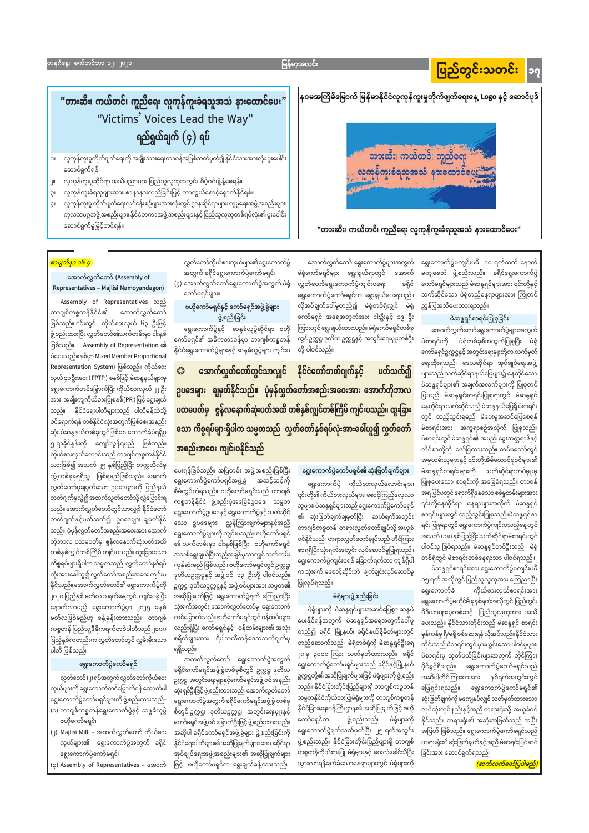# ပြည်တွင်းသတင်း <mark>|၁</mark>၇

မြန်မာ့အလင်း

နဝမအကြိမ်မြောက် မြန်မာနိုင်ငံလူကုန်ကူးမှုတိုက်ဖျက်ရေးနေ့ Logo နှင့် ဆောင်ပုဒ်

တားဆီး၊ ကယ်တင်၊ ကူညီရေး <u> လူ</u>ကုန်ကူးခံရသူအသံ နားထောင်ပေး

"တားဆီး၊ ကယ်တင်၊ ကူညီရေး လူကုန်ကူးခံရသူအသံ နားထောင်ပေး"

# "တားဆီး၊ ကယ်တင်၊ ကူညီရေး လူကုန်ကူးခံရသူအသံ နားထောင်ပေး" "Victims' Voices Lead the Way" ရည်ရွယ်ချက်  $(\varsigma)$  ရပ်

- လူကုန်ကူးမှုတိုက်ဖျက်ရေးကို အမျိုးသားရေးတာဝန်အဖြစ်သတ်မှတ်၍ နိုင်ငံသားအားလုံး ပူးပေါင်း **JIC** ဆောင်ရွက်ရန်။
- လူကုန်ကူးမှုဆိုင်ရာ အသိပညာများ ပြည်သူလူထုအတွင်း စိမ့်ဝင်ပျံ့နှံ့စေရန်။  $J^{\parallel}$
- လူကုန်ကူးခံရသူများအား စာနာနားလည်ခြင်းဖြင့် ကာကွယ်စောင့်ရှောက်နိုင်ရန်။ ilç
- လူကုန်ကူးမှု တိုက်ဖျက်ရေးလုပ်ငန်းစဉ်များအားလုံးတွင် ဌာနဆိုင်ရာများ၊ လူမှုရေးအဖွဲ့ အစည်းများ၊ ÇII ကုလသမဂ္ဂအဖွဲ့အစည်းများ၊ နိုင်ငံတကာအဖွဲ့အစည်းများနှင့် ပြည်သူလူထုတစ်ရပ်လုံး၏ ပူးပေါင်း ဆောင်ရွက်မှုမြှင့်တင်ရန်။

ရွေးကောက်ပွဲမကျင်းပမီ ၁၀ ရက်ထက် နောက် မကျစေဘဲ ဖွဲ့စည်းသည်။ ခရိုင်ရွေးကောက်ပွဲ ကော်မရှင်များသည် မဲဆန္ဒရှင်များအား ၎င်းတို့နှင့် သက်ဆိုင်သော မဲရုံတည်နေရာများအား ကြိုတင် ညွှန်ပြအသိပေးထားရသည်။

## မဲဆန္ဒရှင်စာရင်းပြုစုခြင်း

အောက်လွှတ်တော်ရွေးကောက်ပွဲများအတွက် မဲစာရင်းကို မဲရုံတစ်ခုစီအတွက်ပြုစုပြီး မဲရုံ ကော်မရှင်ဥက္ကဋ္ဌနှင့် အတွင်းရေးမှူးတို့က လက်မှတ် ရေးထိုးရသည်။ ဒေသဆိုင်ရာ အုပ်ချုပ်ရေးအဖွဲ့ များသည် သက်ဆိုင်ရာနယ်မြေများ၌ နေထိုင်သော မဲဆန္ဒရှင်များ၏ အချက်အလက်များကို ပြုစုတင် ပြသည်။ မဲဆန္ဒရှင်စာရင်းပြုစုရာတွင် မဲဆန္ဒရှင် နေထိုင်ရာ သက်ဆိုင်သည့် မဲဆန္ဒနယ်မြေရှိ မဲစာရင်း တွင် ထည့်သွင်းရမည်။ မဲပေးမှုအဆင်ပြေစေရန် မဲစာရင်းအား အက္ခရာစဉ်အလိုက် ပြုစုသည်။ မဲစာရင်းတွင် မဲဆန္ဒရှင်၏ အမည်၊ မွေးသက္ကရာဇ်နှင့် လိပ်စာတို့ကို ဖော်ပြထားသည်။ တပ်မတော်တွင် အမှုထမ်းသူများနှင့် ၎င်းတို့အိမ်ထောင်စုဝင်များ၏ မဲဆန္ဒရှင်စာရင်းများကို သက်ဆိုင်ရာတပ်မျုးမှ ပြုစုပေးသော စာရင်းကို အခြေခံရသည်။ တာဝန် အရပြင်ပတွင် ရောက်ရှိနေသော စစ်မှုထမ်းများအား ၎င်းတို့နေထိုင်ရာ နေရာများအလိုက် မဲဆန္ဒရှင် စာရင်းများတွင် ထည့်သွင်းပြုစုသည်။မဲဆန္ဒရှင်စာ ရင်း ပြုစုရာတွင် ရွေးကောက်ပွဲကျင်းပသည့်နေ့တွင် အသက် (၁၈) နှစ်ပြည့်ပြီး သက်ဆိုင်ရာမဲစာရင်းတွင် ပါဝင်သူ ဖြစ်ရသည်။ မဲဆန္ဒရှင်တစ်ဦးသည် မဲရုံ တစ်ရုံတွင် မဲစာရင်းတစ်နေရာသာ ပါဝင်ရသည်။ မဲဆန္ဒရှင်စာရင်းအား ရွေးကောက်ပွဲမကျင်းပမီ

ဒုတိယဥက္ကဋ္ဌနှင့် အဖွဲ့ဝင် ၁၃ ဦးတို့ ပါဝင်သည်။ ၁၅ ရက် အလိုတွင် ပြည်သူလူထုအား ကြေညာပြီး ပြုလုပ်ရသည်။ ဥက္ကဋ္ဌ၊ ဒုတိယဥက္ကဋ္ဌနှင့် အဖွဲ့ ဝင်များအား သမ္မတ၏ ကိုယ်စားလှယ်စာရင်းအား ရွေးကောက်ခံ အဆိုပြုချက်ဖြင့် ရွေးကောက်ပွဲရက် ကြေညာပြီး မဲရုံများဖွဲ့ စည်းခြင်း ရွေးကောက်ပွဲမတိုင်မီ ခုနစ်ရက်အလိုတွင် ပြည်တွင်း သုံးရက်အတွင်း အောက်လွှတ်တော်မှ ရွေးကောက် မဲရုံများကို မဲဆန္ဒရှင်များအဆင်ပြေစွာ ဆန္ဒမဲ မီဒီယာများမှတစ်ဆင့် ပြည်သူလူထုအား အသိ တင်မြှောက်သည်။ ဗဟိုကော်မရှင်တွင် ဝန်ထမ်းများ း<br>နိုင်ရန်အတွက် မဲဆန္ဒရှင်အရေအတွက်ပေါ်မူ ပေးသည်။ နိုင်ငံသားတိုင်းသည် မဲဆန္ဒရှင် စာရင်း ပည်းရှိပြီး ကော်မရှင်နှင့် ဝန်ထမ်းများ၏ ကစ္စတန် ပြည်သူ့ဒီမိုကရက်တစ်ပါတီသည် ၂၀၀၀ တည်၍ ခရိုင်၊ မြို့နယ်၊ ခရိုင်နယ်နိမိတ်များတွင် မှန်ကန်မှု ရှိ/မရှိ စစ်ဆေးရန် လိုအပ်သည်။ နိုင်ငံသား စရိတ်များအား ရီပါဘလီကန်ဒေသဘတ်ဂျက်မှ ပြည့်နှစ်ကတည်းက လွှတ်တော်တွင် လွှမ်းမိုးသော တည်ဆောက်သည်။ မဲရုံတစ်ရုံကို မဲဆန္ဒရှင်ဦးရေ တိုင်းသည် မဲစာရင်းတွင် မှားယွင်းသော ပါဝင်မှုများ၊ ရရှိသည်။ ပါတီ ဖြစ်သည်။ ၂၀ မှ ၃၀၀၀ ကြား သတ်မှတ်ထားသည်။ ခရိုင် မဲစာရင်းမှ ထုတ်ပယ်ခြင်းများအတွက် တိုင်ကြား အထက်လွှတ်တော် ရွေးကောက်ပွဲအတွက် ရွေးကောက်ပွဲကော်မရှင် ရွေးကောက်ပွဲကော်မရှင်များသည် ခရိုင်နှင့်မြို့နယ် ပိုင်ခွင့်ရှိသည်။ ရွေးကောက်ပွဲကော်မရှင်သည် ခရိုင်ကော်မရှင်အဖွဲ့ခွဲတစ်ခုစီတွင် ဥက္ကဋ္ဌ၊ ဒုတိယ ဥက္ကဋ္ဌတို့၏ အဆိုပြုချက်များဖြင့် မဲရုံများကို ဖွဲ့ စည်း အဆိုပါတိုင်ကြားစာအား နှစ်ရက်အတွင်းတွင် လွှတ်တော် (၂) ရပ်အတွက် လွှတ်တော်ကိုယ်စား ဥက္ကဋ္ဌ၊ အတွင်းရေးမှူးနှင့်ကော်မရှင်အဖွဲ့ ဝင် အနည်း သည်။ နိုင်ငံခြားတိုင်းပြည်များရှိ တာဂျစ်ကစ္စတန် ဖြေရှင်းရသည်။ ရွေးကောက်ပွဲကော်မရှင်၏ လှယ်များကို ရွေးကောက်တင်မြှောက်ရန် အောက်ပါ ဆုံး ရှစ်ဦးဖြင့် ဖွဲ့ စည်းထားသည်။ အောက်လွှတ်တော် သမ္မတနိုင်ငံကိုယ်စားပြုမဲရုံများကို တာဂျစ်ကစ္စတန် ဆုံးဖြတ်ချက်ကို မကျေနပ်လျှင် သတ်မှတ်ထားသော ရွေးကောက်ပွဲကော်မရှင်များကို ဖွဲ့ စည်းထားသည်– ရွေးကောက်ပွဲအတွက် ခရိုင်ကော်မရှင်အဖွဲ့ခွဲ တစ်ခု နိုင်ငံခြားရေးဝန်ကြီးဌာန၏ အဆိုပြုချက်ဖြင့် ဗဟို လုပ်ထုံးလုပ်နည်းနှင့်အညီ တရားရုံးသို့ အယူခံဝင် (၁) တာဂျစ်ကစ္စတန်ရွေးကောက်ပွဲနှင့် ဆန္ဒခံယူပွဲ စီတွင် ဥက္ကဋ္ဌ၊ ဒုတိယဥက္ကဋ္ဌ၊ အတွင်းရေးမှူးနှင့် ကော်မရှင်က ဖွဲ့ စည်းသည်။ မဲရုံများကို နိုင်သည်။ တရားရုံး၏ အဆုံးအဖြတ်သည် အပြီး ဗဟိုကော်မရှင်၊ ကော်မရှင်အဖွဲ့ ဝင် ခြောက်ဦးဖြင့် ဖွဲ့ စည်းထားသည်။ ရွေးကောက်ပွဲရက်သတ်မှတ်ပြီး ၂၅ ရက်အတွင်း အပြတ် ဖြစ်သည်။ ရွေးကောက်ပွဲကော်မရှင်သည် (၂) Majlisi Milli – အထက်လွှတ်တော် ကိုယ်စား အဆိုပါ ခရိုင်ကော်မရှင်အဖွဲ့ခွဲများ ဖွဲ့စည်းခြင်းကို ဖွဲ့ စည်းသည်။ နိုင်ငံခြားတိုင်းပြည်များရှိ တာဂျစ် တရားရုံး၏ ဆုံးဖြတ်ချက်နှင့်အညီ မဲစာရင်းပြင်ဆင် လှယ်များ၏ ရွေးကောက်ပွဲအတွက် ခရိုင် နိုင်ငံရေးပါတီများ၏ အဆိုပြုချက်များ၊ ဒေသဆိုင်ရာ ကစ္စတန်ကိုယ်စားပြု မဲရုံများနှင့် ဝေးလံခေါင်သီပြီး အုပ်ချုပ်ရေးအဖွဲ့အစည်းများ၏ အဆိုပြုချက်များ ခြင်းအား ဆောင်ရွက်ရသည်။ ရွေးကောက်ပွဲကော်မရှင်၊ သွားလာရန်ခက်ခဲသောနေရာများတွင် မဲရုံများကို <mark>(ဆက်လက်ဖော်ပြပါမည်</mark>, ဖြင့် ဗဟိုကော်မရှင်က ရွေးချယ်ခန့်ထားသည်။ (၃) Assembly of Representatives – အောက်

အောက်လွှတ်တော် ရွေးကောက်ပွဲများအတွက် မဲရုံကော်မရှင်များ ရွေးချယ်ရာတွင် အောက် ခရိုင်

လွှတ်တော်ရွေးကောက်ပွဲကျင်းပရေး ရွေးကောက်ပွဲကော်မရှင်က ရွေးချယ်ပေးရသည်။ လိုအပ်ချက်ပေါ်မူတည်၍ မဲရုံတစ်ရုံလျှင် မဲရုံ ကော်မရှင် အရေအတွက်အား ငါးဦးနှင့် ၁၉ ဦး ကြားတွင် ရွေးချယ်ထားသည်။ မဲရုံကော်မရှင်တစ်ခု တွင် ဥက္ကဋ္ဌ၊ ဒုတိယ ဥက္ကဋ္ဌနှင့် အတွင်းရေးမှူးတစ်ဦး တို့ ပါဝင်သည်။

အတွက် ခရိုင်ရွေးကောက်ပွဲကော်မရှင်၊ (၄) အောက်လွှတ်တော်ရွေးကောက်ပွဲအတွက် မဲရုံ ဗဟိုကော်မရှင်နှင့် ကော်မရှင်အဖွဲ့ခွဲများ ဖွဲ့စည်းခြင်း

ရွေးကောက်ပွဲနှင့် ဆန္ဒခံယူပွဲဆိုင်ရာ ဗဟို ကော်မရှင်၏ အဓိကတာဝန်မှာ တာဂျစ်ကစ္စတန် နိုင်ငံရွေးကောက်ပွဲများနှင့် ဆန္ဒခံယူပွဲများ ကျင်းပ

ကော်မရှင်များ။

လွှတ်တော်ကိုယ်စားလှယ်များ၏ ရွေးကောက်ပွဲ

အောက်လွှတ်တော်တွင်သာလျှင် နိုင်ငံတော်ဘတ်ဂျက်နှင့် ပတ်သက်၍  $\bullet$ ဥပဒေများ ချမှတ်နိုင်သည်။ ပုံမှန်လွှတ်တော်အစည်းအဝေးအား အောက်တိုဘာလ ပထမပတ်မှ ဇွန်လနောက်ဆုံးပတ်အထိ တစ်နှစ်လျှင်တစ်ကြိမ် ကျင်းပသည်။ ထူးခြား သော ကိစ္စရပ်များရှိပါက သမ္မတသည် လွှတ်တော်နှစ်ရပ်လုံးအားခေါ်ယူ၍ လွှတ်တော်

> ရွေးကောက်ပွဲကော်မရှင်၏ ဆုံးဖြတ်ချက်များ ရွေးကောက်ပွဲ ကိုယ်စားလှယ်လောင်းများ၊ ၎င်းတို့၏ ကိုယ်စားလှယ်များ၊ စောင့်ကြည့်လေ့လာ သူများ၊ မဲဆန္ဒရှင်များသည် ရွေးကောက်ပွဲကော်မရှင် ၏ ဆုံးဖြတ်ချက်ချမှတ်ပြီး ဆယ်ရက်အတွင်း တာဂျစ်ကစ္စတန် တရားလွှတ်တော်ချုပ်သို့ အယူခံ ဝင်နိုင်သည်။ တရားလွှတ်တော်ချုပ်သည် တိုင်ကြား စာရရှိပြီး သုံးရက်အတွင်း လုပ်ဆောင်မှုပြုရသည်။ ရွေးကောက်ပွဲကျင်းပရန် ခြောက်ရက်သာ ကျန်ရှိပါ က သုံးရက် မစောင့်ဆိုင်းဘဲ ချက်ချင်းလုပ်ဆောင်မှု

အစည်းအဝေး ကျင်းပနိုင်သည် ပေးရန်ဖြစ်သည်။ အမြဲတမ်း အဖွဲ့အစည်းဖြစ်ပြီး ရွေးကောက်ပွဲကော်မရှင်အဖွဲ့ခွဲ အဆင့်ဆင့်ကို စီမံကွပ်ကဲရသည်။ ဗဟိုကော်မရှင်သည် တာဂျစ် ကစ္စတန်နိုင်ငံ ဖွဲ့စည်းပုံအခြေခံဥပဒေ၊ သမ္မတ ရွေးကောက်ပွဲဥပဒေနှင့် ရွေးကောက်ပွဲနှင့် သက်ဆိုင် သော ဥပဒေများ၊ ညွှန်ကြားချက်များနှင့်အညီ ရွေးကောက်ပွဲများကို ကျင်းပသည်။ ဗဟိုကော်မရှင် ၏ သက်တမ်းမှာ ငါးနှစ်ဖြစ်ပြီး ဗဟိုကော်မရှင် အသစ်ရွေးချယ်ပြီးသည့်အချိန်မှသာလျှင် သက်တမ်း ကုန်ဆုံးမည် ဖြစ်သည်။ ဗဟိုကော်မရှင်တွင် ဥက္ကဋ္ဌ၊

### <mark>ာာမျက်နှာ ၁၆ မှ</mark>

## အောက်လွှတ်တော် (Assembly of Representatives - Majlisi Namoyandagon)

Assembly of Representatives သည် တာဂျစ်ကစ္စတန်နိုင်ငံ၏ အောက်လွှတ်တော် ဖြစ်သည်။ ၎င်းတွင် ကိုယ်စားလှယ် ၆၃ ဦးဖြင့် ဖွဲ့ စည်းထားပြီး လွှတ်တော်၏သက်တမ်းမှာ ငါးနှစ် ဖြစ်သည်။ Assembly of Representation ၏ မဲပေးသည့်စနစ်မှာ Mixed Member Proportional Representation System) ဖြစ်သည်။ ကိုယ်စား လှယ် ၄၁ ဦးအား ( FPTP ) စနစ်ဖြင့် မဲဆန္ဒနယ်များမှ ရွေးကောက်တင်မြှောက်ပြီး ကိုယ်စားလှယ် ၂၂ ဦး အား အချိုးကျကိုယ်စားပြုစနစ်(PR ) ဖြင့် ရွေးချယ် သည်။ နိုင်ငံရေးပါတီများသည် ပါလီမန်ထဲသို့ ဝင်ရောက်ရန် တစ်နိုင်ငံလုံးအတွက်ဖြစ်စေ၊ အနည်း ဆုံး မဲဆန္ဒနယ်တစ်ခုတွင်ဖြစ်စေ ထောက်ခံမဲရရှိမှု ၅ ရာခိုင်နှုန်းကို ကျော်လွန်ရမည် ဖြစ်သည်။ ကိုယ်စားလှယ်လောင်းသည် တာဂျစ်ကစ္စတန်နိုင်ငံ သားဖြစ်၍ အသက် ၂၅ နှစ်ပြည့်ပြီး တက္ကသိုလ်မှ ဘွဲ့တစ်ခုခုရရှိသူ ဖြစ်ရမည်ဖြစ်သည်။ အောက် လွှတ်တော်မှချမှတ်သော ဥပဒေများကို ပြည်နယ် ဘတ်ဂျက်မှလွဲ၍ အထက်လွှတ်တော်သို့ လွှဲပြောင်းရ သည်။ အောက်လွှတ်တော်တွင်သာလျှင် နိုင်ငံတော် ဘတ်ဂျက်နှင့်ပတ်သက်၍ ဥပဒေများ ချမှတ်နိုင် သည်။ ပုံမှန်လွှတ်တော်အစည်းအဝေးအား အောက် တိုဘာလ ပထမပတ်မှ ဇွန်လနောက်ဆုံးပတ်အထိ တစ်နှစ်လျှင်တစ်ကြိမ် ကျင်းပသည်။ ထူးခြားသော ကိစ္စရပ်များရှိပါက သမ္မတသည် လွှတ်တော်နှစ်ရပ် လုံးအားခေါ်ယူ၍ လွှတ်တော်အစည်းအဝေး ကျင်းပ နိုင်သည်။ အောက်လွှတ်တော်၏ ရွေးကောက်ပွဲကို ၂၀၂၀ ပြည့်နှစ် မတ်လ ၁ ရက်နေ့တွင် ကျင်းပခဲ့ပြီး နောက်လာမည့် ရွေးကောက်ပွဲမှာ ၂၀၂၅ ခုနှစ် မတ်လဖြစ်မည်ဟု ခန့်မှန်းထားသည်။ တာဂျစ်